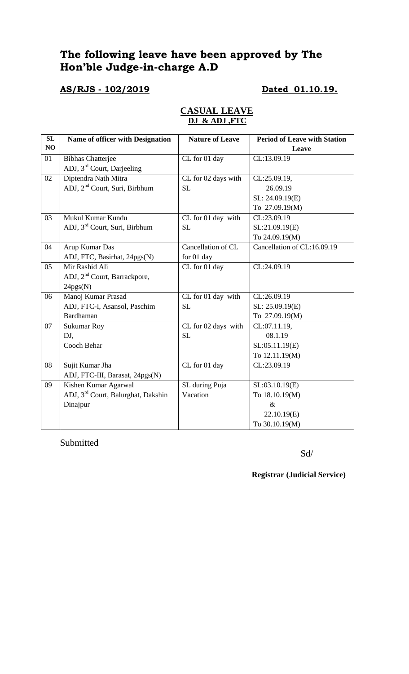# **The following leave have been approved by The Hon'ble Judge-in-charge A.D**

## **AS/RJS - 102/2019 Dated 01.10.19.**

| <b>CASUAL LEAVE</b> |  |
|---------------------|--|
| DJ & ADJ .FTC       |  |

| SL             | Name of officer with Designation               | <b>Nature of Leave</b> | <b>Period of Leave with Station</b> |
|----------------|------------------------------------------------|------------------------|-------------------------------------|
| N <sub>O</sub> |                                                |                        | Leave                               |
| 01             | <b>Bibhas Chatterjee</b>                       | CL for 01 day          | CL:13.09.19                         |
|                | ADJ, 3 <sup>rd</sup> Court, Darjeeling         |                        |                                     |
| 02             | Diptendra Nath Mitra                           | CL for 02 days with    | CL:25.09.19,                        |
|                | ADJ, 2 <sup>nd</sup> Court, Suri, Birbhum      | <b>SL</b>              | 26.09.19                            |
|                |                                                |                        | SL: 24.09.19(E)                     |
|                |                                                |                        | To 27.09.19(M)                      |
| 03             | Mukul Kumar Kundu                              | CL for 01 day with     | CL:23.09.19                         |
|                | ADJ, 3 <sup>rd</sup> Court, Suri, Birbhum      | <b>SL</b>              | SL:21.09.19(E)                      |
|                |                                                |                        | To 24.09.19(M)                      |
| 04             | Arup Kumar Das                                 | Cancellation of CL     | Cancellation of CL:16.09.19         |
|                | ADJ, FTC, Basirhat, 24pgs(N)                   | for 01 day             |                                     |
| 05             | Mir Rashid Ali                                 | CL for 01 day          | CL:24.09.19                         |
|                | ADJ, 2 <sup>nd</sup> Court, Barrackpore,       |                        |                                     |
|                | 24pgs(N)                                       |                        |                                     |
| 06             | Manoj Kumar Prasad                             | CL for 01 day with     | CL:26.09.19                         |
|                | ADJ, FTC-I, Asansol, Paschim                   | <b>SL</b>              | SL: 25.09.19(E)                     |
|                | Bardhaman                                      |                        | To 27.09.19(M)                      |
| 07             | <b>Sukumar Roy</b>                             | CL for 02 days with    | CL:07.11.19,                        |
|                | DJ,                                            | <b>SL</b>              | 08.1.19                             |
|                | Cooch Behar                                    |                        | SL:05.11.19(E)                      |
|                |                                                |                        | To 12.11.19(M)                      |
| 08             | Sujit Kumar Jha                                | CL for 01 day          | CL:23.09.19                         |
|                | ADJ, FTC-III, Barasat, 24pgs(N)                |                        |                                     |
| 09             | Kishen Kumar Agarwal                           | SL during Puja         | SL:03.10.19(E)                      |
|                | ADJ, 3 <sup>rd</sup> Court, Balurghat, Dakshin | Vacation               | To 18.10.19(M)                      |
|                | Dinajpur                                       |                        | $\&$                                |
|                |                                                |                        | 22.10.19(E)                         |
|                |                                                |                        | To 30.10.19(M)                      |

Submitted

Sd/

**Registrar (Judicial Service)**